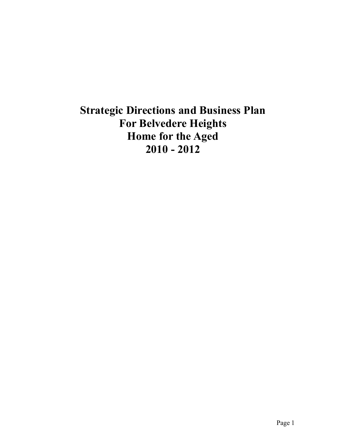# **Strategic Directions and Business Plan For Belvedere Heights Home for the Aged 2010 - 2012**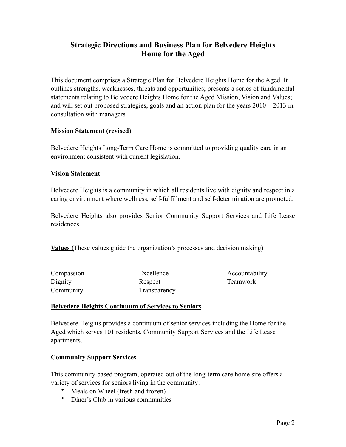# **Strategic Directions and Business Plan for Belvedere Heights Home for the Aged**

This document comprises a Strategic Plan for Belvedere Heights Home for the Aged. It outlines strengths, weaknesses, threats and opportunities; presents a series of fundamental statements relating to Belvedere Heights Home for the Aged Mission, Vision and Values; and will set out proposed strategies, goals and an action plan for the years 2010 – 2013 in consultation with managers.

#### **Mission Statement (revised)**

Belvedere Heights Long-Term Care Home is committed to providing quality care in an environment consistent with current legislation.

#### **Vision Statement**

Belvedere Heights is a community in which all residents live with dignity and respect in a caring environment where wellness, self-fulfillment and self-determination are promoted.

Belvedere Heights also provides Senior Community Support Services and Life Lease residences.

**Values (**These values guide the organization's processes and decision making)

| Compassion |  |
|------------|--|
| Dignity    |  |
| Community  |  |

Excellence Respect Transparency Accountability Teamwork

#### **Belvedere Heights Continuum of Services to Seniors**

Belvedere Heights provides a continuum of senior services including the Home for the Aged which serves 101 residents, Community Support Services and the Life Lease apartments.

#### **Community Support Services**

This community based program, operated out of the long-term care home site offers a variety of services for seniors living in the community:

- Meals on Wheel (fresh and frozen)
- Diner's Club in various communities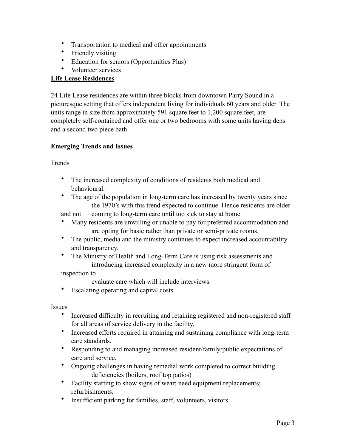- Transportation to medical and other appointments
- Friendly visiting
- Education for seniors (Opportunities Plus)
- Volunteer services

## **Life Lease Residences**

24 Life Lease residences are within three blocks from downtown Parry Sound in a picturesque setting that offers independent living for individuals 60 years and older. The units range in size from approximately 591 square feet to 1,200 square feet, are completely self-contained and offer one or two bedrooms with some units having dens and a second two piece bath.

## **Emerging Trends and Issues**

**Trends** 

- The increased complexity of conditions of residents both medical and behavioural.
- The age of the population in long-term care has increased by twenty years since the 1970's with this trend expected to continue. Hence residents are older

and not coming to long-term care until too sick to stay at home.

- Many residents are unwilling or unable to pay for preferred accommodation and are opting for basic rather than private or semi-private rooms.
- The public, media and the ministry continues to expect increased accountability and transparency.
- The Ministry of Health and Long-Term Care is using risk assessments and introducing increased complexity in a new more stringent form of

inspection to

evaluate care which will include interviews.

Escalating operating and capital costs

Issues

- Increased difficulty in recruiting and retaining registered and non-registered staff for all areas of service delivery in the facility.
- Increased efforts required in attaining and sustaining compliance with long-term care standards.
- Responding to and managing increased resident/family/public expectations of care and service.
- Ongoing challenges in having remedial work completed to correct building deficiencies (boilers, roof top patios)
- Facility starting to show signs of wear; need equipment replacements; refurbishments.
- Insufficient parking for families, staff, volunteers, visitors.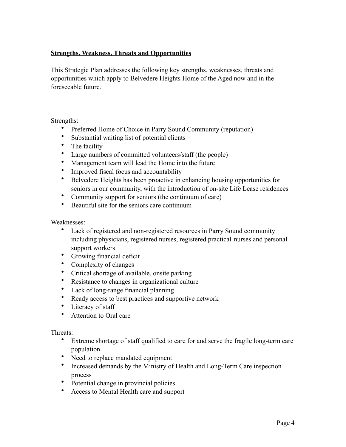# **Strengths, Weakness, Threats and Opportunities**

This Strategic Plan addresses the following key strengths, weaknesses, threats and opportunities which apply to Belvedere Heights Home of the Aged now and in the foreseeable future.

Strengths:

- Preferred Home of Choice in Parry Sound Community (reputation)
- Substantial waiting list of potential clients
- The facility
- Large numbers of committed volunteers/staff (the people)
- Management team will lead the Home into the future
- Improved fiscal focus and accountability
- Belvedere Heights has been proactive in enhancing housing opportunities for seniors in our community, with the introduction of on-site Life Lease residences
- Community support for seniors (the continuum of care)
- Beautiful site for the seniors care continuum

Weaknesses:

- Lack of registered and non-registered resources in Parry Sound community including physicians, registered nurses, registered practical nurses and personal support workers
- Growing financial deficit
- Complexity of changes
- Critical shortage of available, onsite parking
- Resistance to changes in organizational culture
- Lack of long-range financial planning
- Ready access to best practices and supportive network
- Literacy of staff
- Attention to Oral care

Threats:

- Extreme shortage of staff qualified to care for and serve the fragile long-term care population
- Need to replace mandated equipment
- Increased demands by the Ministry of Health and Long-Term Care inspection process
- Potential change in provincial policies
- Access to Mental Health care and support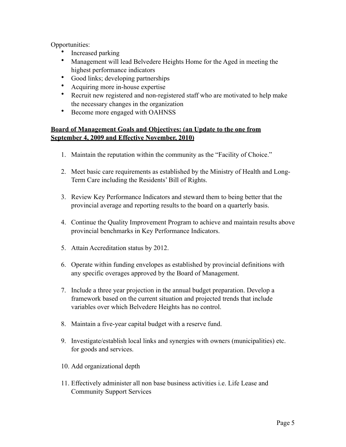Opportunities:

- Increased parking
- Management will lead Belvedere Heights Home for the Aged in meeting the highest performance indicators
- Good links; developing partnerships
- Acquiring more in-house expertise
- Recruit new registered and non-registered staff who are motivated to help make the necessary changes in the organization
- Become more engaged with OAHNSS

# **Board of Management Goals and Objectives: (an Update to the one from September 4, 2009 and Effective November, 2010)**

- 1. Maintain the reputation within the community as the "Facility of Choice."
- 2. Meet basic care requirements as established by the Ministry of Health and Long-Term Care including the Residents' Bill of Rights.
- 3. Review Key Performance Indicators and steward them to being better that the provincial average and reporting results to the board on a quarterly basis.
- 4. Continue the Quality Improvement Program to achieve and maintain results above provincial benchmarks in Key Performance Indicators.
- 5. Attain Accreditation status by 2012.
- 6. Operate within funding envelopes as established by provincial definitions with any specific overages approved by the Board of Management.
- 7. Include a three year projection in the annual budget preparation. Develop a framework based on the current situation and projected trends that include variables over which Belvedere Heights has no control.
- 8. Maintain a five-year capital budget with a reserve fund.
- 9. Investigate/establish local links and synergies with owners (municipalities) etc. for goods and services.
- 10. Add organizational depth
- 11. Effectively administer all non base business activities i.e. Life Lease and Community Support Services